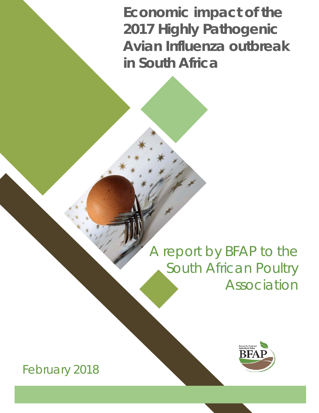**Economic impact of the 2017 Highly Pathogenic Avian Influenza outbreak in South Africa** 

# A report by BFAP to the South African Poultry Association



February 2018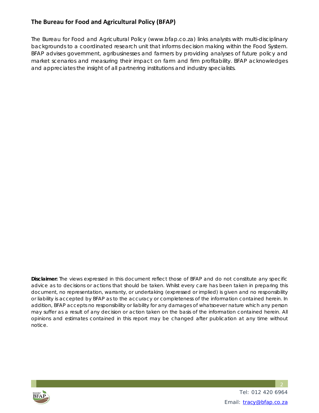#### **The Bureau for Food and Agricultural Policy (BFAP)**

The Bureau for Food and Agricultural Policy (www.bfap.co.za) links analysts with multi-disciplinary backgrounds to a coordinated research unit that informs decision making within the Food System. BFAP advises government, agribusinesses and farmers by providing analyses of future policy and market scenarios and measuring their impact on farm and firm profitability. BFAP acknowledges and appreciates the insight of all partnering institutions and industry specialists.

*Disclaimer: The views expressed in this document reflect those of BFAP and do not constitute any specific advice as to decisions or actions that should be taken. Whilst every care has been taken in preparing this document, no representation, warranty, or undertaking (expressed or implied) is given and no responsibility or liability is accepted by BFAP as to the accuracy or completeness of the information contained herein. In addition, BFAP accepts no responsibility or liability for any damages of whatsoever nature which any person may suffer as a result of any decision or action taken on the basis of the information contained herein. All opinions and estimates contained in this report may be changed after publication at any time without notice.* 



 Tel: 012 420 6964 Email: tracy@bfap.co.za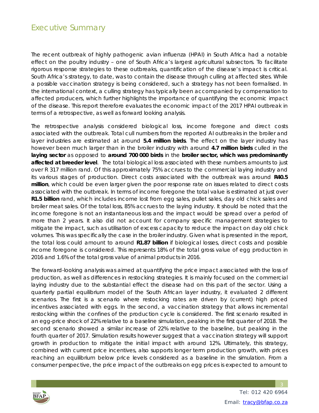# Executive Summary

The recent outbreak of highly pathogenic avian influenza (HPAI) in South Africa had a notable effect on the poultry industry – one of South Africa's largest agricultural subsectors. To facilitate rigorous response strategies to these outbreaks, quantification of the disease's impact is critical. South Africa's strategy, to date, was to contain the disease through culling at affected sites. While a possible vaccination strategy is being considered, such a strategy has not been formalised. In the international context, a culling strategy has typically been accompanied by compensation to affected producers, which further highlights the importance of quantifying the economic impact of the disease. This report therefore evaluates the economic impact of the 2017 HPAI outbreak in terms of a retrospective, as well as forward looking analysis.

The retrospective analysis considered biological loss, income foregone and direct costs associated with the outbreak. Total cull numbers from the reported AI outbreaks in the broiler and layer industries are estimated at around **5.4 million birds**. The effect on the layer industry has however been much larger than in the broiler industry with around **4.7 million birds** culled in the **laying sector** as opposed to **around 700 000 birds** in the **broiler sector, which was predominantly affected at breeder level**. The total biological loss associated with these numbers amounts to just over R 317 million rand. Of this approximately 75% accrues to the commercial laying industry and its various stages of production. Direct costs associated with the outbreak was around **R40.5 million**, which could be even larger given the poor response rate on issues related to direct costs associated with the outbreak. In terms of income foregone the total value is estimated at just over **R1.5 billion** rand, which includes income lost from egg sales, pullet sales, day old chick sales and broiler meat sales. Of the total loss, 85% accrues to the laying industry. It should be noted that the income foregone is not an instantaneous loss and the impact would be spread over a period of more than 2 years. It also did not account for company specific management strategies to mitigate the impact, such as utilisation of excess capacity to reduce the impact on day old chick volumes. This was specifically the case in the broiler industry. Given what is presented in the report, the total loss could amount to around **R1.87 billion** if biological losses, direct costs and possible income foregone is considered. This represents 18% of the total gross value of egg production in 2016 and 1.6% of the total gross value of animal products in 2016.

The forward-looking analysis was aimed at quantifying the price impact associated with the loss of production, as well as differences in restocking strategies. It is mainly focused on the commercial laying industry due to the substantial effect the disease had on this part of the sector. Using a quarterly partial equilibrium model of the South African layer industry, it evaluated 2 different scenarios. The first is a scenario where restocking rates are driven by (current) high priced incentives associated with eggs. In the second, a vaccination strategy that allows incremental restocking within the confines of the production cycle is considered. The first scenario resulted in an egg-price shock of 22% relative to a baseline simulation, peaking in the first quarter of 2018. The second scenario showed a similar increase of 22% relative to the baseline, but peaking in the fourth quarter of 2017. Simulation results however suggest that a vaccination strategy will support growth in production to mitigate the initial impact with around 12%. Ultimately, this strategy, combined with current price incentives, also supports longer term production growth, with prices reaching an equilibrium below price levels considered as a baseline in the simulation. From a consumer perspective, the price impact of the outbreaks on egg prices is expected to amount to

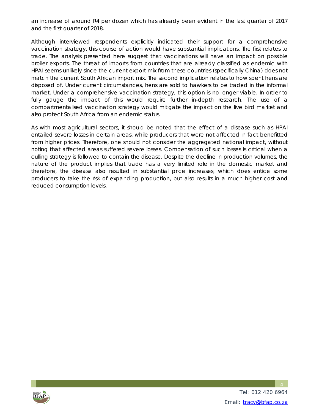an increase of around R4 per dozen which has already been evident in the last quarter of 2017 and the first quarter of 2018.

Although interviewed respondents explicitly indicated their support for a comprehensive vaccination strategy, this course of action would have substantial implications. The first relates to trade. The analysis presented here suggest that vaccinations will have an impact on possible broiler exports. The threat of imports from countries that are already classified as endemic with HPAI seems unlikely since the current export mix from these countries (specifically China) does not match the current South African import mix. The second implication relates to how spent hens are disposed of. Under current circumstances, hens are sold to hawkers to be traded in the informal market. Under a comprehensive vaccination strategy, this option is no longer viable. In order to fully gauge the impact of this would require further in-depth research. The use of a compartmentalised vaccination strategy would mitigate the impact on the live bird market and also protect South Africa from an endemic status.

As with most agricultural sectors, it should be noted that the effect of a disease such as HPAI entailed severe losses in certain areas, while producers that were not affected in fact benefitted from higher prices. Therefore, one should not consider the aggregated national impact, without noting that affected areas suffered severe losses. Compensation of such losses is critical when a culling strategy is followed to contain the disease. Despite the decline in production volumes, the nature of the product implies that trade has a very limited role in the domestic market and therefore, the disease also resulted in substantial price increases, which does entice some producers to take the risk of expanding production, but also results in a much higher cost and reduced consumption levels.



 Tel: 012 420 6964 Email: tracy@bfap.co.za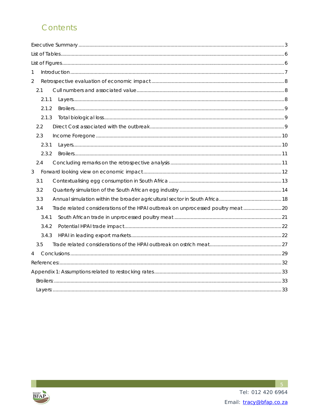# Contents

| 1                                                                                    |  |
|--------------------------------------------------------------------------------------|--|
| $\overline{2}$                                                                       |  |
| 2.1                                                                                  |  |
| 2.1.1                                                                                |  |
| 2.1.2                                                                                |  |
| 2.1.3                                                                                |  |
| 2.2                                                                                  |  |
| 2.3                                                                                  |  |
| 2.3.1                                                                                |  |
| 2.3.2                                                                                |  |
| 2.4                                                                                  |  |
| $\mathfrak{Z}$                                                                       |  |
| 3.1                                                                                  |  |
| 3.2                                                                                  |  |
| 3.3                                                                                  |  |
| Trade related considerations of the HPAI outbreak on unprocessed poultry meat<br>3.4 |  |
| 3.4.1                                                                                |  |
| 3.4.2                                                                                |  |
| 3.4.3                                                                                |  |
| 3.5                                                                                  |  |
| $\overline{4}$                                                                       |  |
|                                                                                      |  |
|                                                                                      |  |
|                                                                                      |  |
|                                                                                      |  |

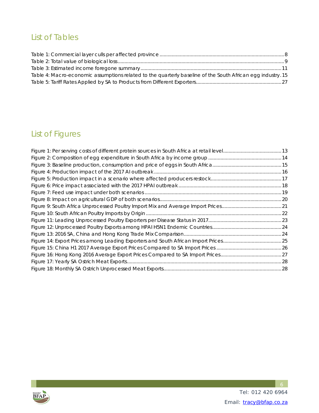# List of Tables

| Table 4: Macro-economic assumptions related to the quarterly baseline of the South African egg industry. 15 |  |
|-------------------------------------------------------------------------------------------------------------|--|
|                                                                                                             |  |

# List of Figures

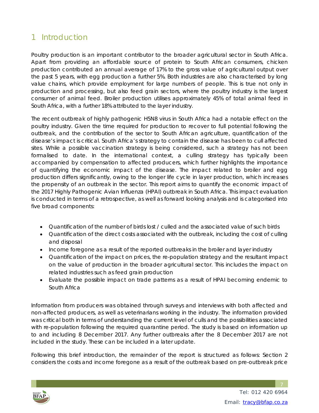# 1 Introduction

Poultry production is an important contributor to the broader agricultural sector in South Africa. Apart from providing an affordable source of protein to South African consumers, chicken production contributed an annual average of 17% to the gross value of agricultural output over the past 5 years, with egg production a further 5%. Both industries are also characterised by long value chains, which provide employment for large numbers of people. This is true not only in production and processing, but also feed grain sectors, where the poultry industry is the largest consumer of animal feed. Broiler production utilises approximately 45% of total animal feed in South Africa, with a further 18% attributed to the layer industry.

The recent outbreak of highly pathogenic H5N8 virus in South Africa had a notable effect on the poultry industry. Given the time required for production to recover to full potential following the outbreak, and the contribution of the sector to South African agriculture, quantification of the disease's impact is critical. South Africa's strategy to contain the disease has been to cull affected sites. While a possible vaccination strategy is being considered, such a strategy has not been formalised to date. In the international context, a culling strategy has typically been accompanied by compensation to affected producers, which further highlights the importance of quantifying the economic impact of the disease. The impact related to broiler and egg production differs significantly, owing to the longer life cycle in layer production, which increases the propensity of an outbreak in the sector. This report aims to quantify the economic impact of the 2017 Highly Pathogenic Avian Influenza (HPAI) outbreak in South Africa. This impact evaluation is conducted in terms of a retrospective, as well as forward looking analysis and is categorised into five broad components:

- Quantification of the number of birds lost / culled and the associated value of such birds
- Quantification of the direct costs associated with the outbreak, including the cost of culling and disposal
- Income foregone as a result of the reported outbreaks in the broiler and layer industry
- Quantification of the impact on prices, the re-population strategy and the resultant impact on the value of production in the broader agricultural sector. This includes the impact on related industries such as feed grain production
- Evaluate the possible impact on trade patterns as a result of HPAI becoming endemic to South Africa

Information from producers was obtained through surveys and interviews with both affected and non-affected producers, as well as veterinarians working in the industry. The information provided was critical both in terms of understanding the current level of culls and the possibilities associated with re-population following the required quarantine period. The study is based on information up to and including 8 December 2017. Any further outbreaks after the 8 December 2017 are not included in the study. These can be included in a later update.

Following this brief introduction, the remainder of the report is structured as follows: Section 2 considers the costs and income foregone as a result of the outbreak based on pre-outbreak price

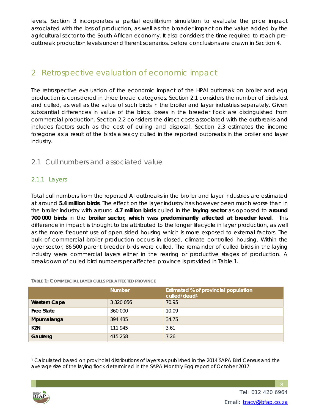levels. Section 3 incorporates a partial equilibrium simulation to evaluate the price impact associated with the loss of production, as well as the broader impact on the value added by the agricultural sector to the South African economy. It also considers the time required to reach preoutbreak production levels under different scenarios, before conclusions are drawn in Section 4.

### 2 Retrospective evaluation of economic impact

The retrospective evaluation of the economic impact of the HPAI outbreak on broiler and egg production is considered in three broad categories. Section 2.1 considers the number of birds lost and culled, as well as the value of such birds in the broiler and layer industries separately. Given substantial differences in value of the birds, losses in the breeder flock are distinguished from commercial production. Section 2.2 considers the direct costs associated with the outbreaks and includes factors such as the cost of culling and disposal. Section 2.3 estimates the income foregone as a result of the birds already culled in the reported outbreaks in the broiler and layer industry.

#### 2.1 Cull numbers and associated value

#### 2.1.1 Layers

Total cull numbers from the reported AI outbreaks in the broiler and layer industries are estimated at around **5.4 million birds**. The effect on the layer industry has however been much worse than in the broiler industry with around **4.7 million birds** culled in the **laying sector** as opposed to **around 700 000 birds** in the **broiler sector, which was predominantly affected at breeder level**. This difference in impact is thought to be attributed to the longer lifecycle in layer production, as well as the more frequent use of open sided housing which is more exposed to external factors. The bulk of commercial broiler production occurs in closed, climate controlled housing. Within the layer sector, 86 500 parent breeder birds were culled. The remainder of culled birds in the laying industry were commercial layers either in the rearing or productive stages of production. A breakdown of culled bird numbers per affected province is provided in Table 1.

#### **TABLE 1: COMMERCIAL LAYER CULLS PER AFFECTED PROVINCE**

|                     | <b>Number</b> | Estimated % of provincial population<br>culled/dead <sup>1</sup> |
|---------------------|---------------|------------------------------------------------------------------|
| <b>Western Cape</b> | 3 3 2 0 0 5 6 | 70.95                                                            |
| <b>Free State</b>   | 360 000       | 10.09                                                            |
| Mpumalanga          | 394 435       | 34.75                                                            |
| <b>KZN</b>          | 111 945       | 3.61                                                             |
| Gauteng             | 415 258       | 7.26                                                             |

 $\overline{a}$ 1 Calculated based on provincial distributions of layers as published in the 2014 SAPA Bird Census and the average size of the laying flock determined in the SAPA Monthly Egg report of October 2017.

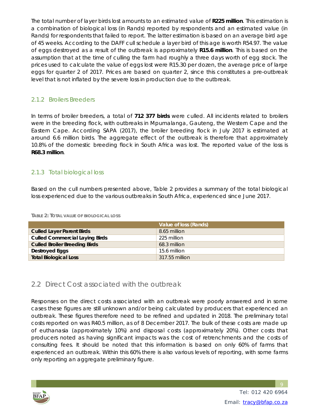The total number of layer birds lost amounts to an estimated value of **R225 million**. This estimation is a combination of biological loss (in Rands) reported by respondents and an estimated value (in Rands) for respondents that failed to report. The latter estimation is based on an average bird age of 45 weeks. According to the DAFF cull schedule a layer bird of this age is worth R54.97. The value of eggs destroyed as a result of the outbreak is approximately **R15.6 million**. This is based on the assumption that at the time of culling the farm had roughly a three days worth of egg stock. The prices used to calculate the value of eggs lost were R15.30 per dozen, the average price of large eggs for quarter 2 of 2017. Prices are based on quarter 2, since this constitutes a pre-outbreak level that is not inflated by the severe loss in production due to the outbreak.

#### 2.1.2 Broilers Breeders

In terms of broiler breeders, a total of **712 377 birds** were culled. All incidents related to broilers were in the breeding flock, with outbreaks in Mpumalanga, Gauteng, the Western Cape and the Eastern Cape. According SAPA (2017), the broiler breeding flock in July 2017 is estimated at around 6.6 million birds. The aggregate effect of the outbreak is therefore that approximately 10.8% of the domestic breeding flock in South Africa was lost. The reported value of the loss is **R68.3 million**.

#### 2.1.3 Total biological loss

Based on the cull numbers presented above, Table 2 provides a summary of the total biological loss experienced due to the various outbreaks in South Africa, experienced since June 2017.

|                                       | Value of loss (Rands) |
|---------------------------------------|-----------------------|
| <b>Culled Layer Parent Birds</b>      | 8.65 million          |
| <b>Culled Commercial Laying Birds</b> | 225 million           |
| <b>Culled Broiler Breeding Birds</b>  | 68.3 million          |
| Destroyed Eggs                        | 15.6 million          |
| <b>Total Biological Loss</b>          | 317.55 million        |

**TABLE 2: TOTAL VALUE OF BIOLOGICAL LOSS**

#### 2.2 Direct Cost associated with the outbreak

Responses on the direct costs associated with an outbreak were poorly answered and in some cases these figures are still unknown and/or being calculated by producers that experienced an outbreak. These figures therefore need to be refined and updated in 2018. The preliminary total costs reported on was R40.5 million, as of 8 December 2017. The bulk of these costs are made up of euthanasia (approximately 10%) and disposal costs (approximately 20%). Other costs that producers noted as having significant impacts was the cost of retrenchments and the costs of consulting fees. It should be noted that this information is based on only 60% of farms that experienced an outbreak. Within this 60% there is also various levels of reporting, with some farms only reporting an aggregate preliminary figure.

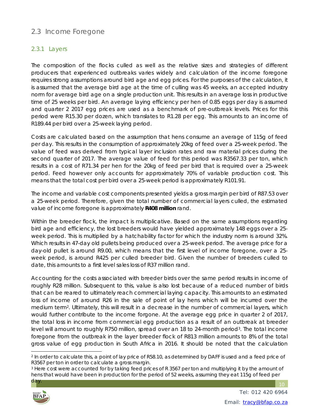#### 2.3 Income Foregone

#### 2.3.1 Layers

The composition of the flocks culled as well as the relative sizes and strategies of different producers that experienced outbreaks varies widely and calculation of the income foregone requires strong assumptions around bird age and egg prices. For the purposes of the calculation, it is assumed that the average bird age at the time of culling was 45 weeks, an accepted industry norm for average bird age on a single production unit. This results in an average loss in productive time of 25 weeks per bird. An average laying efficiency per hen of 0.85 eggs per day is assumed and quarter 2 2017 egg prices are used as a benchmark of pre-outbreak levels. Prices for this period were R15.30 per dozen, which translates to R1.28 per egg. This amounts to an income of R189.44 per bird over a 25-week laying period.

Costs are calculated based on the assumption that hens consume an average of 115g of feed per day. This results in the consumption of approximately 20kg of feed over a 25-week period. The value of feed was derived from typical layer inclusion rates and raw material prices during the second quarter of 2017. The average value of feed for this period was R3567.33 per ton, which results in a cost of R71.34 per hen for the 20kg of feed per bird that is required over a 25-week period. Feed however only accounts for approximately 70% of variable production cost. This means that the total cost per bird over a 25-week period is approximately R101.91.

The income and variable cost components presented yields a gross margin per bird of R87.53 over a 25-week period. Therefore, given the total number of commercial layers culled, the estimated value of income foregone is approximately **R408 million** rand.

Within the breeder flock, the impact is multiplicative. Based on the same assumptions regarding bird age and efficiency, the lost breeders would have yielded approximately 148 eggs over a 25 week period. This is multiplied by a hatchability factor for which the industry norm is around 32%. Which results in 47-day old pullets being produced over a 25-week period. The average price for a day-old pullet is around R9.00, which means that the first level of income foregone, over a 25 week period, is around R425 per culled breeder bird. Given the number of breeders culled to date, this amounts to a first level sales loss of R37 million rand.

Accounting for the costs associated with breeder birds over the same period results in income of roughly R28 million. Subsequent to this, value is also lost because of a reduced number of birds that can be reared to ultimately reach commercial laying capacity. This amounts to an estimated loss of income of around R26 in the sale of point of lay hens which will be incurred over the medium term2. Ultimately, this will result in a decrease in the number of commercial layers, which would further contribute to the income forgone. At the average egg price in quarter 2 of 2017, the total loss in income from commercial egg production as a result of an outbreak at breeder level will amount to roughly R750 million, spread over an 18 to 24-month period3. The total income foregone from the outbreak in the layer breeder flock of R813 million amounts to 8% of the total gross value of egg production in South Africa in 2016. It should be noted that the calculation

<sup>&</sup>lt;sup>3</sup> Here cost were accounted for by taking feed prices of R 3567 per ton and multiplying it by the amount of hens that would have been in production for the period of 52 weeks, assuming they eat 115g of feed per



l



<sup>2</sup> In order to calculate this, a point of lay price of R58.10, as determined by DAFF is used and a feed price of R3567 per ton in order to calculate a gross margin.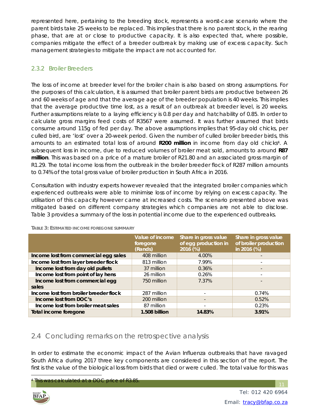represented here, pertaining to the breeding stock, represents a worst-case scenario where the parent birds take 25 weeks to be replaced. This implies that there is no parent stock, in the rearing phase, that are at or close to productive capacity. It is also expected that, where possible, companies mitigate the effect of a breeder outbreak by making use of excess capacity. Such management strategies to mitigate the impact are not accounted for.

#### 2.3.2 Broiler Breeders

The loss of income at breeder level for the broiler chain is also based on strong assumptions. For the purposes of this calculation, it is assumed that broiler parent birds are productive between 26 and 60 weeks of age and that the average age of the breeder population is 40 weeks. This implies that the average productive time lost, as a result of an outbreak at breeder level, is 20 weeks. Further assumptions relate to a laying efficiency is 0.8 per day and hatchability of 0.85. In order to calculate gross margins feed costs of R3567 were assumed. It was further assumed that birds consume around 115g of fed per day. The above assumptions implies that 95-day old chicks, per culled bird, are 'lost' over a 20-week period. Given the number of culled broiler breeder birds, this amounts to an estimated total loss of around **R200 million** in income from day old chicks4. A subsequent loss in income, due to reduced volumes of broiler meat sold, amounts to around **R87 million**. This was based on a price of a mature broiler of R21.80 and an associated gross margin of R1.29. The total income loss from the outbreak in the broiler breeder flock of R287 million amounts to 0.74% of the total gross value of broiler production in South Africa in 2016.

Consultation with industry experts however revealed that the integrated broiler companies which experienced outbreaks were able to minimise loss of income by relying on excess capacity. The utilisation of this capacity however came at increased costs. The scenario presented above was mitigated based on different company strategies which companies are not able to disclose. Table 3 provides a summary of the loss in potential income due to the experienced outbreaks.

|                                        | Value of income<br>foregone<br>(Rands) | Share in gross value<br>of egg production in<br>2016 (%) | Share in gross value<br>of broiler production<br>in 2016 (%) |
|----------------------------------------|----------------------------------------|----------------------------------------------------------|--------------------------------------------------------------|
| Income lost from commercial egg sales  | 408 million                            | 4.00%                                                    | $\overline{\phantom{0}}$                                     |
| Income lost from layer breeder flock   | 813 million                            | 7.99%                                                    | -                                                            |
| Income lost from day old pullets       | 37 million                             | 0.36%                                                    |                                                              |
| Income lost from point of lay hens     | 26 million                             | 0.26%                                                    | $\overline{\phantom{a}}$                                     |
| Income lost from commercial egg        | 750 million                            | 7.37%                                                    |                                                              |
| sales                                  |                                        |                                                          |                                                              |
| Income lost from broiler breeder flock | 287 million                            |                                                          | 0.74%                                                        |
| Income lost from DOC's                 | 200 million                            |                                                          | 0.52%                                                        |
| Income lost from broiler meat sales    | 87 million                             | $\overline{\phantom{0}}$                                 | 0.23%                                                        |
| Total income foregone                  | 1.508 billion                          | 14.83%                                                   | 3.91%                                                        |

**TABLE 3: ESTIMATED INCOME FOREGONE SUMMARY**

### 2.4 Concluding remarks on the retrospective analysis

In order to estimate the economic impact of the Avian Influenza outbreaks that have ravaged South Africa during 2017 three key components are considered in this section of the report. The first is the value of the biological loss from birds that died or were culled. The total value for this was

This was calculated at a DOC price of R3.85.



 $\overline{a}$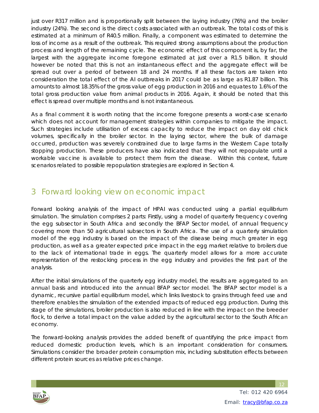just over R317 million and is proportionally split between the laying industry (76%) and the broiler industry (24%). The second is the direct costs associated with an outbreak. The total costs of this is estimated at a minimum of R40.5 million. Finally, a component was estimated to determine the loss of income as a result of the outbreak. This required strong assumptions about the production process and length of the remaining cycle. The economic effect of this component is, by far, the largest with the aggregate income foregone estimated at just over a R1.5 billion. It should however be noted that this is not an instantaneous effect and the aggregate effect will be spread out over a period of between 18 and 24 months. If all these factors are taken into consideration the total effect of the AI outbreaks in 2017 could be as large as R1.87 billion. This amounts to almost 18.35% of the gross value of egg production in 2016 and equates to 1.6% of the total gross production value from animal products in 2016. Again, it should be noted that this effect is spread over multiple months and is not instantaneous.

As a final comment it is worth noting that the income foregone presents a worst-case scenario which does not account for management strategies within companies to mitigate the impact. Such strategies include utilisation of excess capacity to reduce the impact on day old chick volumes, specifically in the broiler sector. In the laying sector, where the bulk of damage occurred, production was severely constrained due to large farms in the Western Cape totally stopping production. These producers have also indicated that they will not repopulate until a workable vaccine is available to protect them from the disease. Within this context, future scenarios related to possible repopulation strategies are explored in Section 4.

# 3 Forward looking view on economic impact

Forward looking analysis of the impact of HPAI was conducted using a partial equilibrium simulation. The simulation comprises 2 parts: Firstly, using a model of quarterly frequency covering the egg subsector in South Africa and secondly the BFAP Sector model, of annual frequency covering more than 50 agricultural subsectors in South Africa. The use of a quarterly simulation model of the egg industry is based on the impact of the disease being much greater in egg production, as well as a greater expected price impact in the egg market relative to broilers due to the lack of international trade in eggs. The quarterly model allows for a more accurate representation of the restocking process in the egg industry and provides the first part of the analysis.

After the initial simulations of the quarterly egg industry model, the results are aggregated to an annual basis and introduced into the annual BFAP sector model. The BFAP sector model is a dynamic, recursive partial equilibrium model, which links livestock to grains through feed use and therefore enables the simulation of the extended impacts of reduced egg production. During this stage of the simulations, broiler production is also reduced in line with the impact on the breeder flock, to derive a total impact on the value added by the agricultural sector to the South African economy.

The forward-looking analysis provides the added benefit of quantifying the price impact from reduced domestic production levels, which is an important consideration for consumers. Simulations consider the broader protein consumption mix, including substitution effects between different protein sources as relative prices change.

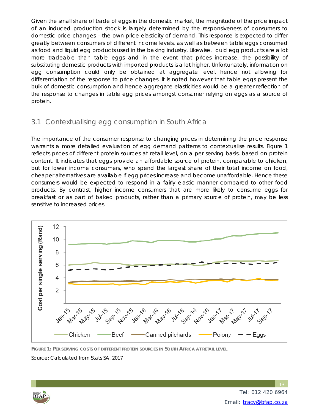Given the small share of trade of eggs in the domestic market, the magnitude of the price impact of an induced production shock is largely determined by the responsiveness of consumers to domestic price changes – the own price elasticity of demand. This response is expected to differ greatly between consumers of different income levels, as well as between table eggs consumed as food and liquid egg products used in the baking industry. Likewise, liquid egg products are a lot more tradeable than table eggs and in the event that prices increase, the possibility of substituting domestic products with imported products is a lot higher. Unfortunately, information on egg consumption could only be obtained at aggregate level, hence not allowing for differentiation of the response to price changes. It is noted however that table eggs present the bulk of domestic consumption and hence aggregate elasticities would be a greater reflection of the response to changes in table egg prices amongst consumer relying on eggs as a source of protein.

#### 3.1 Contextualising egg consumption in South Africa

The importance of the consumer response to changing prices in determining the price response warrants a more detailed evaluation of egg demand patterns to contextualise results. Figure 1 reflects prices of different protein sources at retail level, on a per serving basis, based on protein content. It indicates that eggs provide an affordable source of protein, comparable to chicken, but for lower income consumers, who spend the largest share of their total income on food, cheaper alternatives are available if egg prices increase and become unaffordable. Hence these consumers would be expected to respond in a fairly elastic manner compared to other food products. By contrast, higher income consumers that are more likely to consume eggs for breakfast or as part of baked products, rather than a primary source of protein, may be less sensitive to increased prices.



**FIGURE 1: PER SERVING COSTS OF DIFFERENT PROTEIN SOURCES IN SOUTH AFRICA AT RETAIL LEVEL**

Source: Calculated from Stats SA, 2017

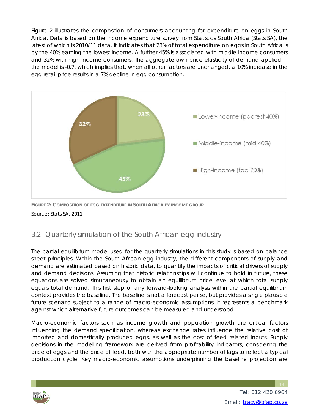Figure 2 illustrates the composition of consumers accounting for expenditure on eggs in South Africa. Data is based on the income expenditure survey from Statistics South Africa (Stats SA), the latest of which is 2010/11 data. It indicates that 23% of total expenditure on eggs in South Africa is by the 40% earning the lowest income. A further 45% is associated with middle income consumers and 32% with high income consumers. The aggregate own price elasticity of demand applied in the model is -0.7, which implies that, when all other factors are unchanged, a 10% increase in the egg retail price results in a 7% decline in egg consumption.



**FIGURE 2: COMPOSITION OF EGG EXPENDITURE IN SOUTH AFRICA BY INCOME GROUP** Source: Stats SA, 2011

### 3.2 Quarterly simulation of the South African egg industry

The partial equilibrium model used for the quarterly simulations in this study is based on balance sheet principles. Within the South African egg industry, the different components of supply and demand are estimated based on historic data, to quantify the impacts of critical drivers of supply and demand decisions. Assuming that historic relationships will continue to hold in future, these equations are solved simultaneously to obtain an equilibrium price level at which total supply equals total demand. This first step of any forward-looking analysis within the partial equilibrium context provides the baseline. The baseline is not a forecast per se, but provides a single plausible future scenario subject to a range of macro-economic assumptions. It represents a benchmark against which alternative future outcomes can be measured and understood.

Macro-economic factors such as income growth and population growth are critical factors influencing the demand specification, whereas exchange rates influence the relative cost of imported and domestically produced eggs, as well as the cost of feed related inputs. Supply decisions in the modelling framework are derived from profitability indicators, considering the price of eggs and the price of feed, both with the appropriate number of lags to reflect a typical production cycle. Key macro-economic assumptions underpinning the baseline projection are

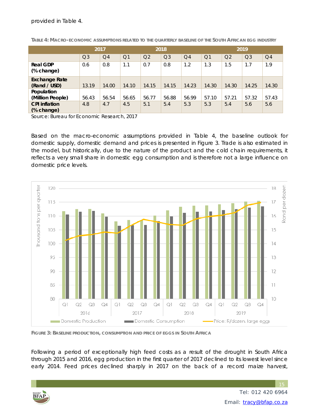provided in Table 4.

|                                      | 2017           |                |                |                | 2018           |                |                | 2019           |                |                |
|--------------------------------------|----------------|----------------|----------------|----------------|----------------|----------------|----------------|----------------|----------------|----------------|
|                                      | Q <sub>3</sub> | Q <sub>4</sub> | Q <sub>1</sub> | Q <sub>2</sub> | Q <sub>3</sub> | Q <sub>4</sub> | Q <sub>1</sub> | Q <sub>2</sub> | Q <sub>3</sub> | Q <sub>4</sub> |
| <b>Real GDP</b><br>(% change)        | 0.6            | 0.8            | 1.1            | 0.7            | 0.8            | 1.2            | 1.3            | 1.5            | 1.7            | 1.9            |
| <b>Exchange Rate</b><br>(Rand / USD) | 13.19          | 14.00          | 14.10          | 14.15          | 14.15          | 14.23          | 14.30          | 14.30          | 14.25          | 14.30          |
| Population<br>(Million People)       | 56.43          | 56.54          | 56.65          | 56.77          | 56.88          | 56.99          | 57.10          | 57.21          | 57.32          | 57.43          |
| <b>CPI</b> inflation<br>(% change)   | 4.8            | 4.7            | 4.5            | 5.1            | 5.4            | 5.3            | 5.3            | 5.4            | 5.6            | 5.6            |

**TABLE 4: MACRO-ECONOMIC ASSUMPTIONS RELATED TO THE QUARTERLY BASELINE OF THE SOUTH AFRICAN EGG INDUSTRY**

Source: Bureau for Economic Research, 2017

Based on the macro-economic assumptions provided in Table 4, the baseline outlook for domestic supply, domestic demand and prices is presented in Figure 3. Trade is also estimated in the model, but historically, due to the nature of the product and the cold chain requirements, it reflects a very small share in domestic egg consumption and is therefore not a large influence on domestic price levels.



**FIGURE 3: BASELINE PRODUCTION, CONSUMPTION AND PRICE OF EGGS IN SOUTH AFRICA**

Following a period of exceptionally high feed costs as a result of the drought in South Africa through 2015 and 2016, egg production in the first quarter of 2017 declined to its lowest level since early 2014. Feed prices declined sharply in 2017 on the back of a record maize harvest,

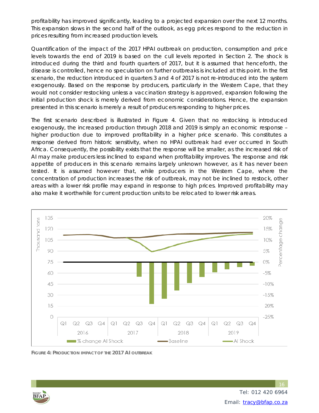profitability has improved significantly, leading to a projected expansion over the next 12 months. This expansion slows in the second half of the outlook, as egg prices respond to the reduction in prices resulting from increased production levels.

Quantification of the impact of the 2017 HPAI outbreak on production, consumption and price levels towards the end of 2019 is based on the cull levels reported in Section 2. The shock is introduced during the third and fourth quarters of 2017, but it is assumed that henceforth, the disease is controlled, hence no speculation on further outbreaks is included at this point. In the first scenario, the reduction introduced in quarters 3 and 4 of 2017 is not re-introduced into the system exogenously. Based on the response by producers, particularly in the Western Cape, that they would not consider restocking unless a vaccination strategy is approved, expansion following the initial production shock is merely derived from economic considerations. Hence, the expansion presented in this scenario is merely a result of producers responding to higher prices.

The first scenario described is illustrated in Figure 4. Given that no restocking is introduced exogenously, the increased production through 2018 and 2019 is simply an economic response – higher production due to improved profitability in a higher price scenario. This constitutes a response derived from historic sensitivity, when no HPAI outbreak had ever occurred in South Africa. Consequently, the possibility exists that the response will be smaller, as the increased risk of AI may make producers less inclined to expand when profitability improves. The response and risk appetite of producers in this scenario remains largely unknown however, as it has never been tested. It is assumed however that, while producers in the Western Cape, where the concentration of production increases the risk of outbreak, may not be inclined to restock, other areas with a lower risk profile may expand in response to high prices. Improved profitability may also make it worthwhile for current production units to be relocated to lower risk areas.



**FIGURE 4: PRODUCTION IMPACT OF THE 2017 AI OUTBREAK**

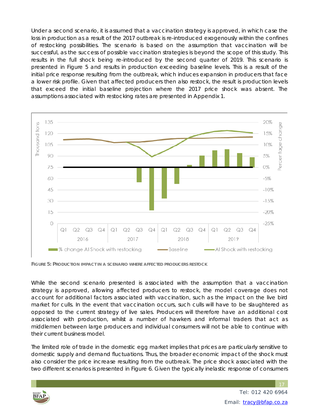Under a second scenario, it is assumed that a vaccination strategy is approved, in which case the loss in production as a result of the 2017 outbreak is re-introduced exogenously within the confines of restocking possibilities. The scenario is based on the assumption that vaccination will be successful, as the success of possible vaccination strategies is beyond the scope of this study. This results in the full shock being re-introduced by the second quarter of 2019. This scenario is presented in Figure 5 and results in production exceeding baseline levels. This is a result of the initial price response resulting from the outbreak, which induces expansion in producers that face a lower risk profile. Given that affected producers then also restock, the result is production levels that exceed the initial baseline projection where the 2017 price shock was absent. The assumptions associated with restocking rates are presented in Appendix 1.



**FIGURE 5: PRODUCTION IMPACT IN A SCENARIO WHERE AFFECTED PRODUCERS RESTOCK**

While the second scenario presented is associated with the assumption that a vaccination strategy is approved, allowing affected producers to restock, the model coverage does not account for additional factors associated with vaccination, such as the impact on the live bird market for culls. In the event that vaccination occurs, such culls will have to be slaughtered as opposed to the current strategy of live sales. Producers will therefore have an additional cost associated with production, whilst a number of hawkers and informal traders that act as middlemen between large producers and individual consumers will not be able to continue with their current business model.

The limited role of trade in the domestic egg market implies that prices are particularly sensitive to domestic supply and demand fluctuations. Thus, the broader economic impact of the shock must also consider the price increase resulting from the outbreak. The price shock associated with the two different scenarios is presented in Figure 6. Given the typically inelastic response of consumers

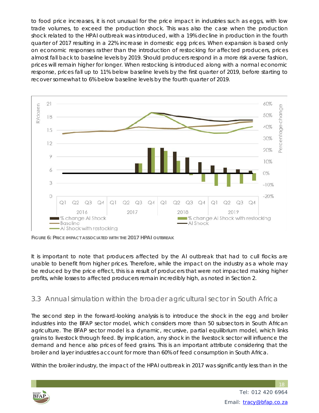to food price increases, it is not unusual for the price impact in industries such as eggs, with low trade volumes, to exceed the production shock. This was also the case when the production shock related to the HPAI outbreak was introduced, with a 19% decline in production in the fourth quarter of 2017 resulting in a 22% increase in domestic egg prices. When expansion is based only on economic responses rather than the introduction of restocking for affected producers, prices almost fall back to baseline levels by 2019. Should producers respond in a more risk averse fashion, prices will remain higher for longer. When restocking is introduced along with a normal economic response, prices fall up to 11% below baseline levels by the first quarter of 2019, before starting to recover somewhat to 6% below baseline levels by the fourth quarter of 2019.



**FIGURE 6: PRICE IMPACT ASSOCIATED WITH THE 2017 HPAI OUTBREAK**

It is important to note that producers affected by the AI outbreak that had to cull flocks are unable to benefit from higher prices. Therefore, while the impact on the industry as a whole may be reduced by the price effect, this is a result of producers that were not impacted making higher profits, while losses to affected producers remain incredibly high, as noted in Section 2.

#### 3.3 Annual simulation within the broader agricultural sector in South Africa

The second step in the forward-looking analysis is to introduce the shock in the egg and broiler industries into the BFAP sector model, which considers more than 50 subsectors in South African agriculture. The BFAP sector model is a dynamic, recursive, partial equilibrium model, which links grains to livestock through feed. By implication, any shock in the livestock sector will influence the demand and hence also prices of feed grains. This is an important attribute considering that the broiler and layer industries account for more than 60% of feed consumption in South Africa.

Within the broiler industry, the impact of the HPAI outbreak in 2017 was significantly less than in the

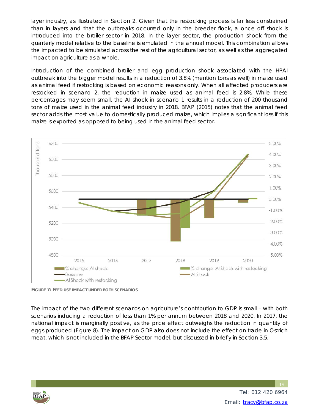layer industry, as illustrated in Section 2. Given that the restocking process is far less constrained than in layers and that the outbreaks occurred only in the breeder flock, a once off shock is introduced into the broiler sector in 2018. In the layer sector, the production shock from the quarterly model relative to the baseline is emulated in the annual model. This combination allows the impacted to be simulated across the rest of the agricultural sector, as well as the aggregated impact on agriculture as a whole.

Introduction of the combined broiler and egg production shock associated with the HPAI outbreak into the bigger model results in a reduction of 3.8% (mention tons as well) in maize used as animal feed if restocking is based on economic reasons only. When all affected producers are restocked in scenario 2, the reduction in maize used as animal feed is 2.8%. While these percentages may seem small, the AI shock in scenario 1 results in a reduction of 200 thousand tons of maize used in the animal feed industry in 2018. BFAP (2015) notes that the animal feed sector adds the most value to domestically produced maize, which implies a significant loss if this maize is exported as opposed to being used in the animal feed sector.



**FIGURE 7: FEED USE IMPACT UNDER BOTH SCENARIOS**

The impact of the two different scenarios on agriculture's contribution to GDP is small – with both scenarios inducing a reduction of less than 1% per annum between 2018 and 2020. In 2017, the national impact is marginally positive, as the price effect outweighs the reduction in quantity of eggs produced (Figure 8). The impact on GDP also does not include the effect on trade in Ostrich meat, which is not included in the BFAP Sector model, but discussed in briefly in Section 3.5.

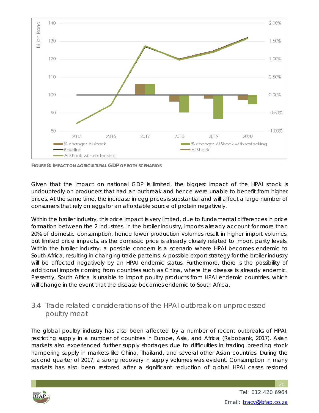

**FIGURE 8: IMPACT ON AGRICULTURAL GDP OF BOTH SCENARIOS**

Given that the impact on national GDP is limited, the biggest impact of the HPAI shock is undoubtedly on producers that had an outbreak and hence were unable to benefit from higher prices. At the same time, the increase in egg prices is substantial and will affect a large number of consumers that rely on eggs for an affordable source of protein negatively.

Within the broiler industry, this price impact is very limited, due to fundamental differences in price formation between the 2 industries. In the broiler industry, imports already account for more than 20% of domestic consumption, hence lower production volumes result in higher import volumes, but limited price impacts, as the domestic price is already closely related to import parity levels. Within the broiler industry, a possible concern is a scenario where HPAI becomes endemic to South Africa, resulting in changing trade patterns. A possible export strategy for the broiler industry will be affected negatively by an HPAI endemic status. Furthermore, there is the possibility of additional imports coming from countries such as China, where the disease is already endemic. Presently, South Africa is unable to import poultry products from HPAI endemic countries, which will change in the event that the disease becomes endemic to South Africa.

#### 3.4 Trade related considerations of the HPAI outbreak on unprocessed poultry meat

The global poultry industry has also been affected by a number of recent outbreaks of HPAI, restricting supply in a number of countries in Europe, Asia, and Africa (Rabobank, 2017). Asian markets also experienced further supply shortages due to difficulties in trading breeding stock hampering supply in markets like China, Thailand, and several other Asian countries. During the second quarter of 2017, a strong recovery in supply volumes was evident. Consumption in many markets has also been restored after a significant reduction of global HPAI cases restored

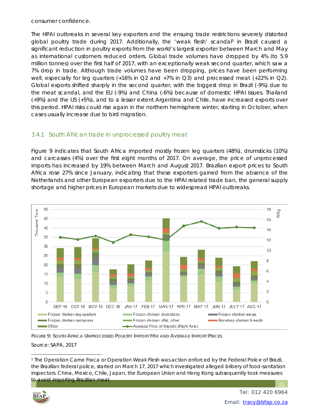consumer confidence.

The HPAI outbreaks in several key exporters and the ensuing trade restrictions severely distorted global poultry trade during 2017. Additionally, the 'weak flesh' scandal<sup>5</sup> in Brazil caused a significant reduction in poultry exports from the world's largest exporter between March and May as international customers reduced orders. Global trade volumes have dropped by 4% (to 5.9 million tonnes) over the first half of 2017, with an exceptionally weak second quarter, which saw a 7% drop in trade. Although trade volumes have been dropping, prices have been performing well, especially for leg quarters  $(+16\%$  in Q2 and  $+7\%$  in Q3) and processed meat  $(+22\%$  in Q2). Global exports shifted sharply in the second quarter, with the biggest drop in Brazil (-9%) due to the meat scandal, and the EU (-9%) and China (-6%) because of domestic HPAI issues. Thailand (+9%) and the US (+5%), and to a lesser extent Argentina and Chile, have increased exports over this period. HPAI risks could rise again in the northern hemisphere winter, starting in October, when cases usually increase due to bird migration.

#### 3.4.1 South African trade in unprocessed poultry meat

Figure 9 indicates that South Africa imported mostly frozen leg quarters (48%), drumsticks (10%) and carcasses (4%) over the first eight months of 2017. On average, the price of unprocessed imports has increased by 19% between March and August 2017. Brazilian export prices to South Africa rose 27% since January, indicating that these exporters gained from the absence of the Netherlands and other European exporters due to the HPAI related trade ban, the general supply shortage and higher prices in European markets due to widespread HPAI outbreaks.



**FIGURE 9: SOUTH AFRICA UNPROCESSED POULTRY IMPORT MIX AND AVERAGE IMPORT PRICES**

Source: SAPA, 2017

<sup>5</sup> The Operation Carne Fraca or Operation Weak Flesh was action enforced by the Federal Police of Brazil, the Brazilian federal police, started on March 17, 2017 which investigated alleged bribery of food-sanitation inspectors. China, Mexico, Chile, Japan, the European Union and Hong Kong subsequently took measures to avoid importing Brazilian meat.



 $\overline{a}$ 

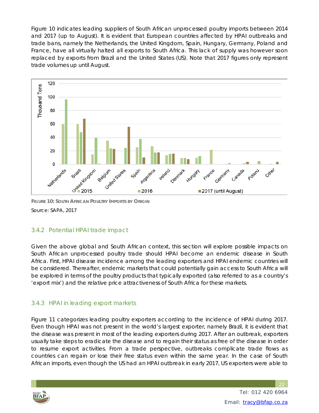Figure 10 indicates leading suppliers of South African unprocessed poultry imports between 2014 and 2017 (up to August). It is evident that European countries affected by HPAI outbreaks and trade bans, namely the Netherlands, the United Kingdom, Spain, Hungary, Germany, Poland and France, have all virtually halted all exports to South Africa. This lack of supply was however soon replaced by exports from Brazil and the United States (US). Note that 2017 figures only represent trade volumes up until August.



**FIGURE 10: SOUTH AFRICAN POULTRY IMPORTS BY ORIGIN**

Source: SAPA, 2017

#### 3.4.2 Potential HPAI trade impact

Given the above global and South African context, this section will explore possible impacts on South African unprocessed poultry trade should HPAI become an endemic disease in South Africa. First, HPAI disease incidence among the leading exporters and HPAI endemic countries will be considered. Thereafter, endemic markets that could potentially gain access to South Africa will be explored in terms of the poultry products that typically exported (also referred to as a country's 'export mix') and the relative price attractiveness of South Africa for these markets.

#### 3.4.3 HPAI in leading export markets

Figure 11 categorizes leading poultry exporters according to the incidence of HPAI during 2017. Even though HPAI was not present in the world's largest exporter, namely Brazil, it is evident that the disease was present in most of the leading exporters during 2017. After an outbreak, exporters usually take steps to eradicate the disease and to regain their status as free of the disease in order to resume export activities. From a trade perspective, outbreaks complicate trade flows as countries can regain or lose their free status even within the same year. In the case of South African imports, even though the US had an HPAI outbreak in early 2017, US exporters were able to

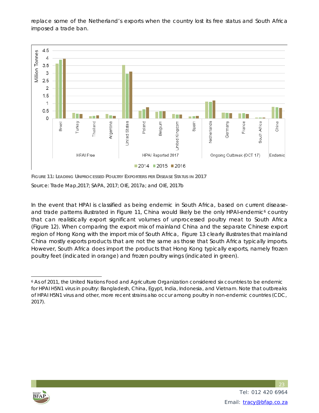replace some of the Netherland's exports when the country lost its free status and South Africa imposed a trade ban.



**FIGURE 11: LEADING UNPROCESSED POULTRY EXPORTERS PER DISEASE STATUS IN 2017** 

Source: Trade Map,2017; SAPA, 2017; OIE, 2017a; and OIE, 2017b

In the event that HPAI is classified as being endemic in South Africa, based on current diseaseand trade patterns illustrated in Figure 11, China would likely be the only HPAI-endemic<sup>6</sup> country that can realistically export significant volumes of unprocessed poultry meat to South Africa (Figure 12). When comparing the export mix of mainland China and the separate Chinese export region of Hong Kong with the import mix of South Africa, Figure 13 clearly illustrates that mainland China mostly exports products that are not the same as those that South Africa typically imports. However, South Africa does import the products that Hong Kong typically exports, namely frozen poultry feet (indicated in orange) and frozen poultry wings (indicated in green).



 $\overline{a}$ 

<sup>&</sup>lt;sup>6</sup> As of 2011, the United Nations Food and Agriculture Organization considered six countries to be endemic for HPAI H5N1 virus in poultry: Bangladesh, China, Egypt, India, Indonesia, and Vietnam. Note that outbreaks of HPAI H5N1 virus and other, more recent strains also occur among poultry in non-endemic countries (CDC, 2017).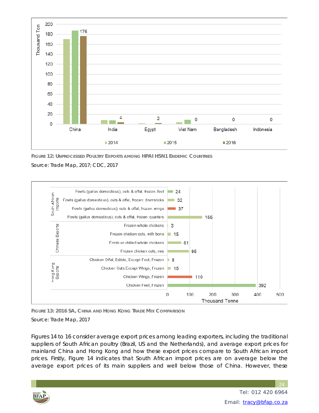

**FIGURE 12: UNPROCESSED POULTRY EXPORTS AMONG HPAI H5N1 ENDEMIC COUNTRIES**

Source: Trade Map, 2017; CDC, 2017



**FIGURE 13: 2016 SA, CHINA AND HONG KONG TRADE MIX COMPARISON**

Source: Trade Map, 2017

Figures 14 to 16 consider average export prices among leading exporters, including the traditional suppliers of South African poultry (Brazil, US and the Netherlands), and average export prices for mainland China and Hong Kong and how these export prices compare to South African import prices. Firstly, Figure 14 indicates that South African import prices are on average below the average export prices of its main suppliers and well below those of China. However, these

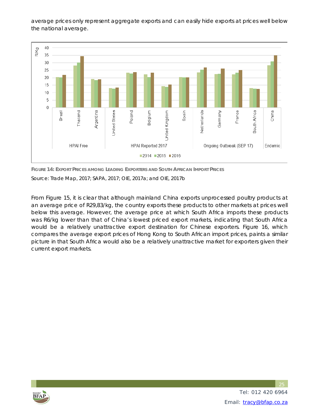average prices only represent aggregate exports and can easily hide exports at prices well below the national average.



**FIGURE 14: EXPORT PRICES AMONG LEADING EXPORTERS AND SOUTH AFRICAN IMPORT PRICES** Source: Trade Map, 2017; SAPA, 2017; OIE, 2017a; and OIE, 2017b

From Figure 15, it is clear that although mainland China exports unprocessed poultry products at an average price of R29,83/kg, the country exports these products to other markets at prices well below this average. However, the average price at which South Africa imports these products was R6/kg lower than that of China's lowest priced export markets, indicating that South Africa would be a relatively unattractive export destination for Chinese exporters. Figure 16, which compares the average export prices of Hong Kong to South African import prices, paints a similar picture in that South Africa would also be a relatively unattractive market for exporters given their current export markets.



 Tel: 012 420 6964 Email: tracy@bfap.co.za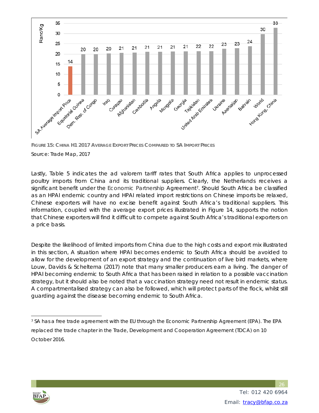

**FIGURE 15: CHINA H1 2017 AVERAGE EXPORT PRICES COMPARED TO SA IMPORT PRICES** Source: Trade Map, 2017

Lastly, Table 5 indicates the *ad valorem* tariff rates that South Africa applies to unprocessed poultry imports from China and its traditional suppliers. Clearly, the Netherlands receives a significant benefit under the Economic Partnership Agreement<sup>7</sup>. Should South Africa be classified as an HPAI endemic country and HPAI related import restrictions on Chinese imports be relaxed, Chinese exporters will have no excise benefit against South Africa's traditional suppliers. This information, coupled with the average export prices illustrated in Figure 14, supports the notion that Chinese exporters will find it difficult to compete against South Africa's traditional exporters on a price basis.

Despite the likelihood of limited imports from China due to the high costs and export mix illustrated in this section, A situation where HPAI becomes endemic to South Africa should be avoided to allow for the development of an export strategy and the continuation of live bird markets, where Louw, Davids & Scheltema (2017) note that many smaller producers earn a living. The danger of HPAI becoming endemic to South Africa that has been raised in relation to a possible vaccination strategy, but it should also be noted that a vaccination strategy need not result in endemic status. A compartmentalised strategy can also be followed, which will protect parts of the flock, whilst still guarding against the disease becoming endemic to South Africa.



 $\overline{a}$ 7 SA has a free trade agreement with the EU through the Economic Partnership Agreement (EPA). The EPA replaced the trade chapter in the Trade, Development and Cooperation Agreement (TDCA) on 10 October 2016.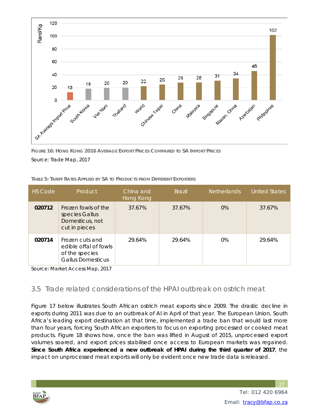

**FIGURE 16: HONG KONG 2016 AVERAGE EXPORT PRICES COMPARED TO SA IMPORT PRICES** Source: Trade Map, 2017

| TABLE 5: TARIFF RATES APPLIED BY SA TO PRODUCTS FROM DIFFERENT EXPORTERS |  |
|--------------------------------------------------------------------------|--|
|                                                                          |  |

| HS Code | Product                                                                                | China and<br>Hong Kong | <b>Brazil</b> | Netherlands | <b>United States</b> |
|---------|----------------------------------------------------------------------------------------|------------------------|---------------|-------------|----------------------|
| 020712  | Frozen fowls of the<br>species Gallus<br>Domesticus, not<br>cut in pieces              | 37.67%                 | 37.67%        | $0\%$       | 37.67%               |
| 020714  | Frozen cuts and<br>edible offal of fowls<br>of the species<br><b>Gallus Domesticus</b> | 29.64%                 | 29.64%        | $0\%$       | 29.64%               |

Source: Market Access Map, 2017

#### 3.5 Trade related considerations of the HPAI outbreak on ostrich meat

Figure 17 below illustrates South African ostrich meat exports since 2009. The drastic decline in exports during 2011 was due to an outbreak of AI in April of that year. The European Union, South Africa's leading export destination at that time, implemented a trade ban that would last more than four years, forcing South African exporters to focus on exporting processed or cooked meat products. Figure 18 shows how, once the ban was lifted in August of 2015, unprocessed export volumes soared, and export prices stabilised once access to European markets was regained. **Since South Africa experienced a new outbreak of HPAI during the third quarter of 2017**, the impact on unprocessed meat exports will only be evident once new trade data is released.

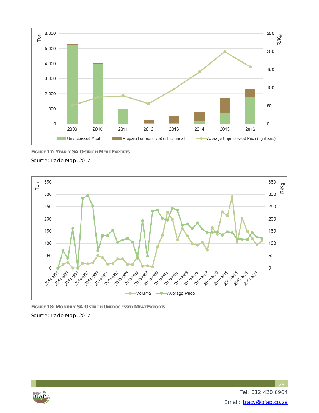

**FIGURE 17: YEARLY SA OSTRICH MEAT EXPORTS**

Source: Trade Map, 2017



**FIGURE 18: MONTHLY SA OSTRICH UNPROCESSED MEAT EXPORTS** Source: Trade Map, 2017

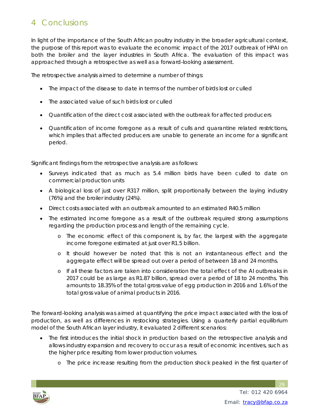# 4 Conclusions

In light of the importance of the South African poultry industry in the broader agricultural context, the purpose of this report was to evaluate the economic impact of the 2017 outbreak of HPAI on both the broiler and the layer industries in South Africa. The evaluation of this impact was approached through a retrospective as well as a forward-looking assessment.

The retrospective analysis aimed to determine a number of things:

- The impact of the disease to date in terms of the number of birds lost or culled
- The associated value of such birds lost or culled
- Quantification of the direct cost associated with the outbreak for affected producers
- Quantification of income foregone as a result of culls and quarantine related restrictions, which implies that affected producers are unable to generate an income for a significant period.

Significant findings from the retrospective analysis are as follows:

- Surveys indicated that as much as 5.4 million birds have been culled to date on commercial production units
- A biological loss of just over R317 million, split proportionally between the laying industry (76%) and the broiler industry (24%).
- Direct costs associated with an outbreak amounted to an estimated R40.5 million
- The estimated income foregone as a result of the outbreak required strong assumptions regarding the production process and length of the remaining cycle.
	- o The economic effect of this component is, by far, the largest with the aggregate income foregone estimated at just over R1.5 billion.
	- o It should however be noted that this is not an instantaneous effect and the aggregate effect will be spread out over a period of between 18 and 24 months.
	- o If all these factors are taken into consideration the total effect of the AI outbreaks in 2017 could be as large as R1.87 billion, spread over a period of 18 to 24 months. This amounts to 18.35% of the total gross value of egg production in 2016 and 1.6% of the total gross value of animal products in 2016.

The forward-looking analysis was aimed at quantifying the price impact associated with the loss of production, as well as differences in restocking strategies. Using a quarterly partial equilibrium model of the South African layer industry, it evaluated 2 different scenarios:

- The first introduces the initial shock in production based on the retrospective analysis and allows industry expansion and recovery to occur as a result of economic incentives, such as the higher price resulting from lower production volumes.
	- o The price increase resulting from the production shock peaked in the first quarter of

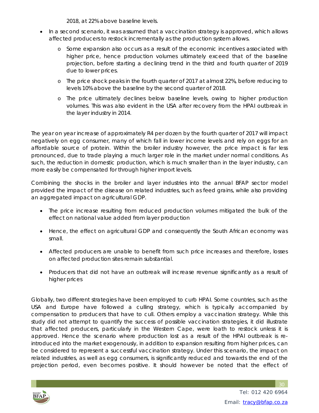2018, at 22% above baseline levels.

- In a second scenario, it was assumed that a vaccination strategy is approved, which allows affected producers to restock incrementally as the production system allows.
	- o Some expansion also occurs as a result of the economic incentives associated with higher price, hence production volumes ultimately exceed that of the baseline projection, before starting a declining trend in the third and fourth quarter of 2019 due to lower prices.
	- o The price shock peaks in the fourth quarter of 2017 at almost 22%, before reducing to levels 10% above the baseline by the second quarter of 2018.
	- o The price ultimately declines below baseline levels, owing to higher production volumes. This was also evident in the USA after recovery from the HPAI outbreak in the layer industry in 2014.

The year on year increase of approximately R4 per dozen by the fourth quarter of 2017 will impact negatively on egg consumer, many of which fall in lower income levels and rely on eggs for an affordable source of protein. Within the broiler industry however, the price impact is far less pronounced, due to trade playing a much larger role in the market under normal conditions. As such, the reduction in domestic production, which is much smaller than in the layer industry, can more easily be compensated for through higher import levels.

Combining the shocks in the broiler and layer industries into the annual BFAP sector model provided the impact of the disease on related industries, such as feed grains, while also providing an aggregated impact on agricultural GDP.

- The price increase resulting from reduced production volumes mitigated the bulk of the effect on national value added from layer production
- Hence, the effect on agricultural GDP and consequently the South African economy was small.
- Affected producers are unable to benefit from such price increases and therefore, losses on affected production sites remain substantial.
- Producers that did not have an outbreak will increase revenue significantly as a result of higher prices

Globally, two different strategies have been employed to curb HPAI. Some countries, such as the USA and Europe have followed a culling strategy, which is typically accompanied by compensation to producers that have to cull. Others employ a vaccination strategy. While this study did not attempt to quantify the success of possible vaccination strategies, it did illustrate that affected producers, particularly in the Western Cape, were loath to restock unless it is approved. Hence the scenario where production lost as a result of the HPAI outbreak is reintroduced into the market exogenously, in addition to expansion resulting from higher prices, can be considered to represent a successful vaccination strategy. Under this scenario, the impact on related industries, as well as egg consumers, is significantly reduced and towards the end of the projection period, even becomes positive. It should however be noted that the effect of

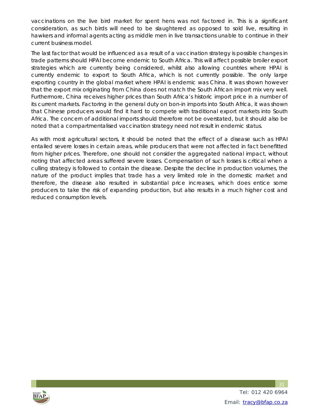vaccinations on the live bird market for spent hens was not factored in. This is a significant consideration, as such birds will need to be slaughtered as opposed to sold live, resulting in hawkers and informal agents acting as middle men in live transactions unable to continue in their current business model.

The last factor that would be influenced as a result of a vaccination strategy is possible changes in trade patterns should HPAI become endemic to South Africa. This will affect possible broiler export strategies which are currently being considered, whilst also allowing countries where HPAI is currently endemic to export to South Africa, which is not currently possible. The only large exporting country in the global market where HPAI is endemic was China. It was shown however that the export mix originating from China does not match the South African import mix very well. Furthermore, China receives higher prices than South Africa's historic import price in a number of its current markets. Factoring in the general duty on bon-in imports into South Africa, it was shown that Chinese producers would find it hard to compete with traditional export markets into South Africa. The concern of additional imports should therefore not be overstated, but it should also be noted that a compartmentalised vaccination strategy need not result in endemic status.

As with most agricultural sectors, it should be noted that the effect of a disease such as HPAI entailed severe losses in certain areas, while producers that were not affected in fact benefitted from higher prices. Therefore, one should not consider the aggregated national impact, without noting that affected areas suffered severe losses. Compensation of such losses is critical when a culling strategy is followed to contain the disease. Despite the decline in production volumes, the nature of the product implies that trade has a very limited role in the domestic market and therefore, the disease also resulted in substantial price increases, which does entice some producers to take the risk of expanding production, but also results in a much higher cost and reduced consumption levels.

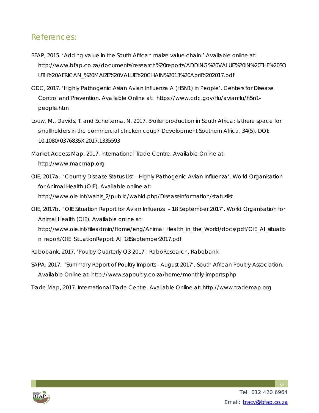### References:

- BFAP, 2015. 'Adding value in the South African maize value chain.' Available online at: http://www.bfap.co.za/documents/research%20reports/ADDING%20VALUE%20IN%20THE%20SO UTH%20AFRICAN\_%20MAIZE%20VALUE%20CHAIN%2013%20April%202017.pdf
- CDC, 2017. 'Highly Pathogenic Asian Avian Influenza A (H5N1) in People'. Centers for Disease Control and Prevention. Available Online at: https://www.cdc.gov/flu/avianflu/h5n1 people.htm
- Louw, M., Davids, T. and Scheltema, N. 2017. Broiler production in South Africa: Is there space for smallholders in the commercial chicken coup? Development Southern Africa, 34(5). DOI: 10.1080/0376835X.2017.1335593
- Market Access Map, 2017. International Trade Centre. Available Online at: http://www.macmap.org
- OIE, 2017a. 'Country Disease Status List Highly Pathogenic Avian Influenza'. World Organisation for Animal Health (OIE). Available online at: http://www.oie.int/wahis\_2/public/wahid.php/Diseaseinformation/statuslist
- OIE, 2017b. 'OIE Situation Report for Avian Influenza 18 September 2017'. World Organisation for Animal Health (OIE). Available online at: http://www.oie.int/fileadmin/Home/eng/Animal\_Health\_in\_the\_World/docs/pdf/OIE\_AI\_situatio n\_report/OIE\_SituationReport\_AI\_18September2017.pdf
- Rabobank, 2017. 'Poultry Quarterly Q3 2017'. *RaboResearch*, Rabobank.
- SAPA, 2017. 'Summary Report of Poultry Imports August 2017', South African Poultry Association. Available Online at: http://www.sapoultry.co.za/home/monthly-imports.php
- Trade Map, 2017. International Trade Centre. Available Online at: http://www.trademap.org